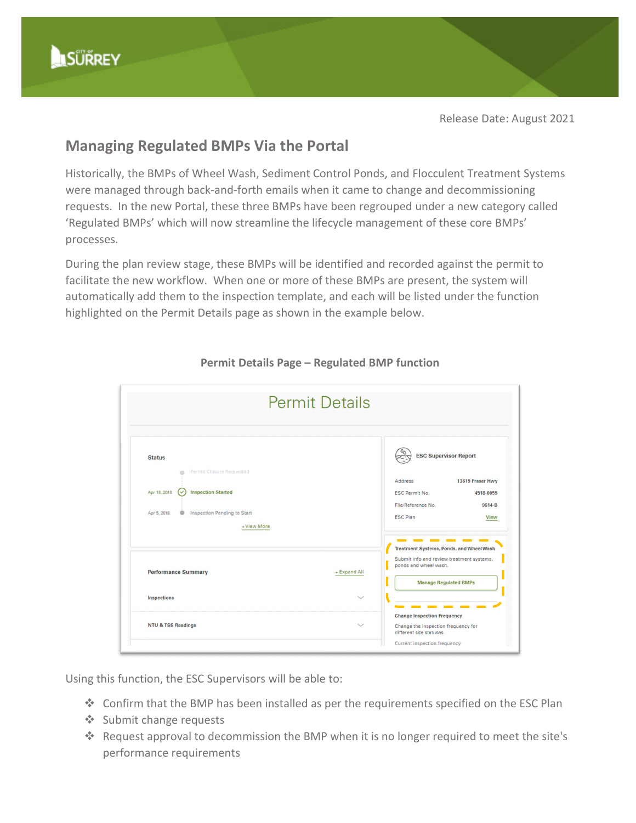Release Date: August 2021

## **Managing Regulated BMPs Via the Portal**

Historically, the BMPs of Wheel Wash, Sediment Control Ponds, and Flocculent Treatment Systems were managed through back-and-forth emails when it came to change and decommissioning requests. In the new Portal, these three BMPs have been regrouped under a new category called 'Regulated BMPs' which will now streamline the lifecycle management of these core BMPs' processes.

During the plan review stage, these BMPs will be identified and recorded against the permit to facilitate the new workflow. When one or more of these BMPs are present, the system will automatically add them to the inspection template, and each will be listed under the function highlighted on the Permit Details page as shown in the example below.



## **Permit Details Page – Regulated BMP function**

Using this function, the ESC Supervisors will be able to:

- Confirm that the BMP has been installed as per the requirements specified on the ESC Plan
- ❖ Submit change requests
- \* Request approval to decommission the BMP when it is no longer required to meet the site's performance requirements